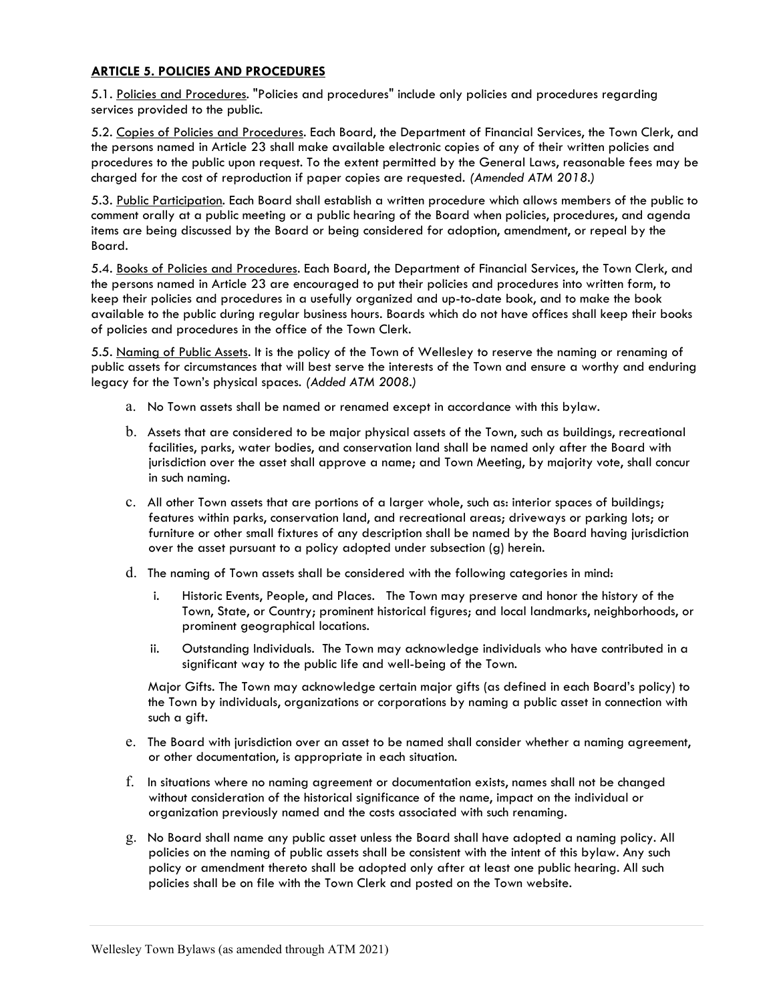## ARTICLE 5. POLICIES AND PROCEDURES

5.1. Policies and Procedures. "Policies and procedures" include only policies and procedures regarding services provided to the public.

5.2. Copies of Policies and Procedures. Each Board, the Department of Financial Services, the Town Clerk, and the persons named in Article 23 shall make available electronic copies of any of their written policies and procedures to the public upon request. To the extent permitted by the General Laws, reasonable fees may be charged for the cost of reproduction if paper copies are requested. (Amended ATM 2018.)

5.3. Public Participation. Each Board shall establish a written procedure which allows members of the public to comment orally at a public meeting or a public hearing of the Board when policies, procedures, and agenda items are being discussed by the Board or being considered for adoption, amendment, or repeal by the Board.

5.4. Books of Policies and Procedures. Each Board, the Department of Financial Services, the Town Clerk, and the persons named in Article 23 are encouraged to put their policies and procedures into written form, to keep their policies and procedures in a usefully organized and up-to-date book, and to make the book available to the public during regular business hours. Boards which do not have offices shall keep their books of policies and procedures in the office of the Town Clerk.

5.5. Naming of Public Assets. It is the policy of the Town of Wellesley to reserve the naming or renaming of public assets for circumstances that will best serve the interests of the Town and ensure a worthy and enduring legacy for the Town's physical spaces. (Added ATM 2008.)

- a. No Town assets shall be named or renamed except in accordance with this bylaw.
- b. Assets that are considered to be major physical assets of the Town, such as buildings, recreational facilities, parks, water bodies, and conservation land shall be named only after the Board with jurisdiction over the asset shall approve a name; and Town Meeting, by majority vote, shall concur in such naming.
- c. All other Town assets that are portions of a larger whole, such as: interior spaces of buildings; features within parks, conservation land, and recreational areas; driveways or parking lots; or furniture or other small fixtures of any description shall be named by the Board having jurisdiction over the asset pursuant to a policy adopted under subsection (g) herein.
- d. The naming of Town assets shall be considered with the following categories in mind:
	- i. Historic Events, People, and Places. The Town may preserve and honor the history of the Town, State, or Country; prominent historical figures; and local landmarks, neighborhoods, or prominent geographical locations.
	- ii. Outstanding Individuals. The Town may acknowledge individuals who have contributed in a significant way to the public life and well-being of the Town.

Major Gifts. The Town may acknowledge certain major gifts (as defined in each Board's policy) to the Town by individuals, organizations or corporations by naming a public asset in connection with such a gift.

- e. The Board with jurisdiction over an asset to be named shall consider whether a naming agreement, or other documentation, is appropriate in each situation.
- f. In situations where no naming agreement or documentation exists, names shall not be changed without consideration of the historical significance of the name, impact on the individual or organization previously named and the costs associated with such renaming.
- g. No Board shall name any public asset unless the Board shall have adopted a naming policy. All policies on the naming of public assets shall be consistent with the intent of this bylaw. Any such policy or amendment thereto shall be adopted only after at least one public hearing. All such policies shall be on file with the Town Clerk and posted on the Town website.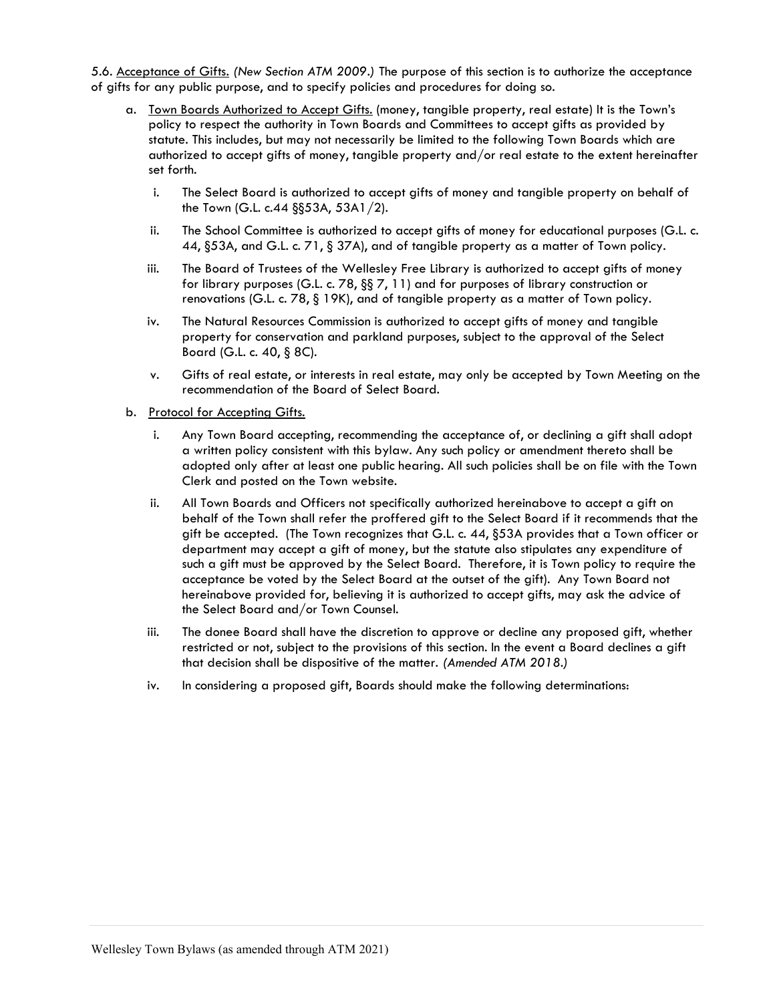5.6. Acceptance of Gifts. (New Section ATM 2009.) The purpose of this section is to authorize the acceptance of gifts for any public purpose, and to specify policies and procedures for doing so.

- a. Town Boards Authorized to Accept Gifts. (money, tangible property, real estate) It is the Town's policy to respect the authority in Town Boards and Committees to accept gifts as provided by statute. This includes, but may not necessarily be limited to the following Town Boards which are authorized to accept gifts of money, tangible property and/or real estate to the extent hereinafter set forth.
	- i. The Select Board is authorized to accept gifts of money and tangible property on behalf of the Town (G.L. c.44 §§53A, 53A1/2).
	- ii. The School Committee is authorized to accept gifts of money for educational purposes (G.L. c. 44, §53A, and G.L. c. 71, § 37A), and of tangible property as a matter of Town policy.
	- iii. The Board of Trustees of the Wellesley Free Library is authorized to accept gifts of money for library purposes (G.L. c. 78, §§ 7, 11) and for purposes of library construction or renovations (G.L. c. 78, § 19K), and of tangible property as a matter of Town policy.
	- iv. The Natural Resources Commission is authorized to accept gifts of money and tangible property for conservation and parkland purposes, subject to the approval of the Select Board (G.L. c. 40, § 8C).
	- v. Gifts of real estate, or interests in real estate, may only be accepted by Town Meeting on the recommendation of the Board of Select Board.
- b. Protocol for Accepting Gifts.
	- i. Any Town Board accepting, recommending the acceptance of, or declining a gift shall adopt a written policy consistent with this bylaw. Any such policy or amendment thereto shall be adopted only after at least one public hearing. All such policies shall be on file with the Town Clerk and posted on the Town website.
	- ii. All Town Boards and Officers not specifically authorized hereinabove to accept a gift on behalf of the Town shall refer the proffered gift to the Select Board if it recommends that the gift be accepted. (The Town recognizes that G.L. c. 44, §53A provides that a Town officer or department may accept a gift of money, but the statute also stipulates any expenditure of such a gift must be approved by the Select Board. Therefore, it is Town policy to require the acceptance be voted by the Select Board at the outset of the gift). Any Town Board not hereinabove provided for, believing it is authorized to accept gifts, may ask the advice of the Select Board and/or Town Counsel.
	- iii. The donee Board shall have the discretion to approve or decline any proposed gift, whether restricted or not, subject to the provisions of this section. In the event a Board declines a gift that decision shall be dispositive of the matter. (Amended ATM 2018.)
	- iv. In considering a proposed gift, Boards should make the following determinations: